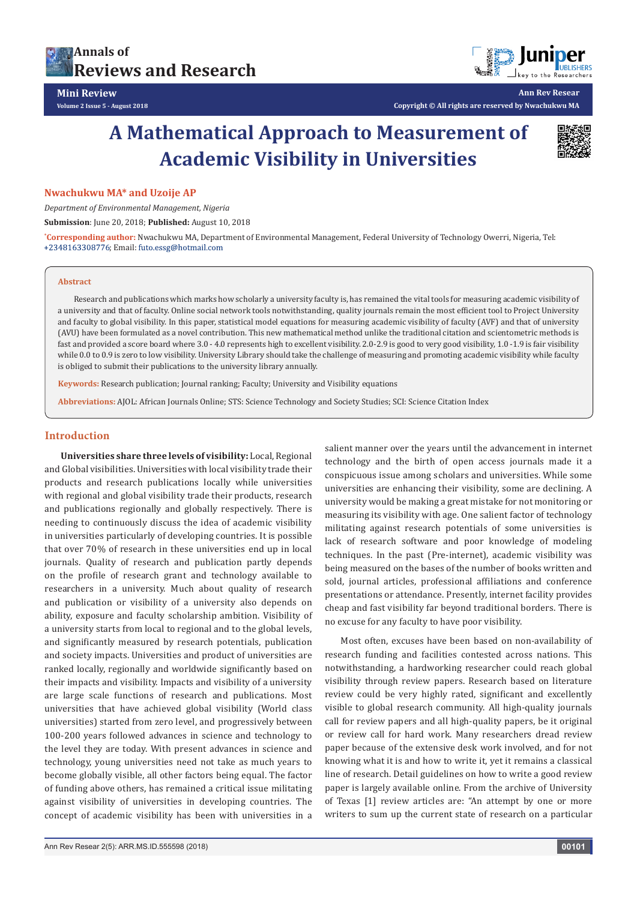



**Ann Rev Resear**

**Copyright © All rights are reserved by Nwachukwu MA**

# **A Mathematical Approach to Measurement of Academic Visibility in Universities**



# **Nwachukwu MA\* and Uzoije AP**

*Department of Environmental Management, Nigeria*

**Submission**: June 20, 2018; **Published:** August 10, 2018

**\* Corresponding author:** Nwachukwu MA, Department of Environmental Management, Federal University of Technology Owerri, Nigeria, Tel: +2348163308776; Email: futo.essg@hotmail.com

#### **Abstract**

Research and publications which marks how scholarly a university faculty is, has remained the vital tools for measuring academic visibility of a university and that of faculty. Online social network tools notwithstanding, quality journals remain the most efficient tool to Project University and faculty to global visibility. In this paper, statistical model equations for measuring academic visibility of faculty (AVF) and that of university (AVU) have been formulated as a novel contribution. This new mathematical method unlike the traditional citation and scientometric methods is fast and provided a score board where 3.0 - 4.0 represents high to excellent visibility. 2.0-2.9 is good to very good visibility, 1.0 -1.9 is fair visibility while 0.0 to 0.9 is zero to low visibility. University Library should take the challenge of measuring and promoting academic visibility while faculty is obliged to submit their publications to the university library annually.

**Keywords:** Research publication; Journal ranking; Faculty; University and Visibility equations

**Abbreviations:** AJOL: African Journals Online; STS: Science Technology and Society Studies; SCI: Science Citation Index

# **Introduction**

**Universities share three levels of visibility:** Local, Regional and Global visibilities. Universities with local visibility trade their products and research publications locally while universities with regional and global visibility trade their products, research and publications regionally and globally respectively. There is needing to continuously discuss the idea of academic visibility in universities particularly of developing countries. It is possible that over 70% of research in these universities end up in local journals. Quality of research and publication partly depends on the profile of research grant and technology available to researchers in a university. Much about quality of research and publication or visibility of a university also depends on ability, exposure and faculty scholarship ambition. Visibility of a university starts from local to regional and to the global levels, and significantly measured by research potentials, publication and society impacts. Universities and product of universities are ranked locally, regionally and worldwide significantly based on their impacts and visibility. Impacts and visibility of a university are large scale functions of research and publications. Most universities that have achieved global visibility (World class universities) started from zero level, and progressively between 100-200 years followed advances in science and technology to the level they are today. With present advances in science and technology, young universities need not take as much years to become globally visible, all other factors being equal. The factor of funding above others, has remained a critical issue militating against visibility of universities in developing countries. The concept of academic visibility has been with universities in a

salient manner over the years until the advancement in internet technology and the birth of open access journals made it a conspicuous issue among scholars and universities. While some universities are enhancing their visibility, some are declining. A university would be making a great mistake for not monitoring or measuring its visibility with age. One salient factor of technology militating against research potentials of some universities is lack of research software and poor knowledge of modeling techniques. In the past (Pre-internet), academic visibility was being measured on the bases of the number of books written and sold, journal articles, professional affiliations and conference presentations or attendance. Presently, internet facility provides cheap and fast visibility far beyond traditional borders. There is no excuse for any faculty to have poor visibility.

Most often, excuses have been based on non-availability of research funding and facilities contested across nations. This notwithstanding, a hardworking researcher could reach global visibility through review papers. Research based on literature review could be very highly rated, significant and excellently visible to global research community. All high-quality journals call for review papers and all high-quality papers, be it original or review call for hard work. Many researchers dread review paper because of the extensive desk work involved, and for not knowing what it is and how to write it, yet it remains a classical line of research. Detail guidelines on how to write a good review paper is largely available online. From the archive of University of Texas [1] review articles are: "An attempt by one or more writers to sum up the current state of research on a particular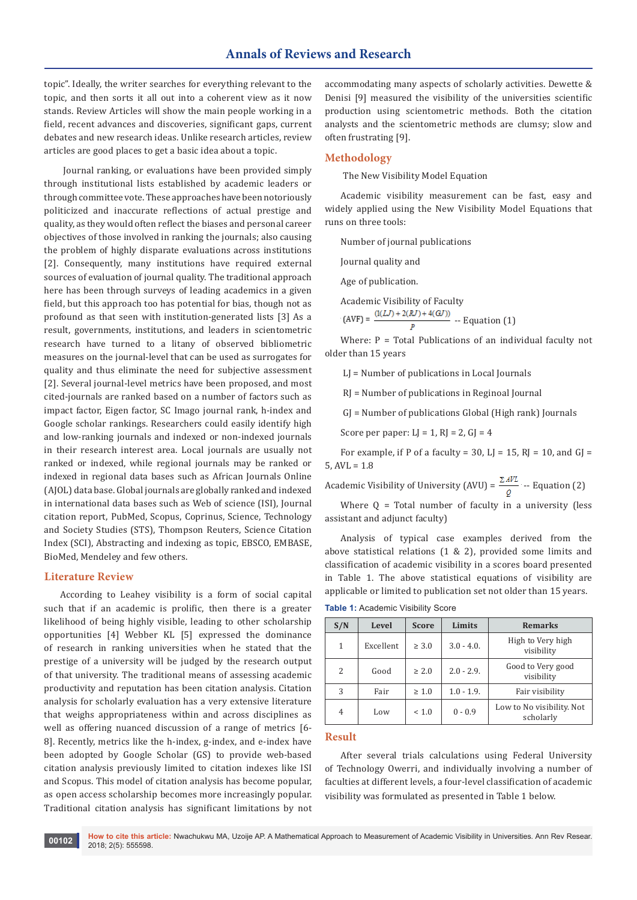topic". Ideally, the writer searches for everything relevant to the topic, and then sorts it all out into a coherent view as it now stands. Review Articles will show the main people working in a field, recent advances and discoveries, significant gaps, current debates and new research ideas. Unlike research articles, review articles are good places to get a basic idea about a topic.

 Journal ranking, or evaluations have been provided simply through institutional lists established by academic leaders or through committee vote. These approaches have been notoriously politicized and inaccurate reflections of actual prestige and quality, as they would often reflect the biases and personal career objectives of those involved in ranking the journals; also causing the problem of highly disparate evaluations across institutions [2]. Consequently, many institutions have required external sources of evaluation of journal quality. The traditional approach here has been through surveys of leading academics in a given field, but this approach too has potential for bias, though not as profound as that seen with institution-generated lists [3] As a result, governments, institutions, and leaders in scientometric research have turned to a litany of observed bibliometric measures on the journal-level that can be used as surrogates for quality and thus eliminate the need for subjective assessment [2]. Several journal-level metrics have been proposed, and most cited-journals are ranked based on a number of factors such as impact factor, Eigen factor, SC Imago journal rank, h-index and Google scholar rankings. Researchers could easily identify high and low-ranking journals and indexed or non-indexed journals in their research interest area. Local journals are usually not ranked or indexed, while regional journals may be ranked or indexed in regional data bases such as African Journals Online (AJOL) data base. Global journals are globally ranked and indexed in international data bases such as Web of science (ISI), Journal citation report, PubMed, Scopus, Coprinus, Science, Technology and Society Studies (STS), Thompson Reuters, Science Citation Index (SCI), Abstracting and indexing as topic, EBSCO, EMBASE, BioMed, Mendeley and few others.

## **Literature Review**

According to Leahey visibility is a form of social capital such that if an academic is prolific, then there is a greater likelihood of being highly visible, leading to other scholarship opportunities [4] Webber KL [5] expressed the dominance of research in ranking universities when he stated that the prestige of a university will be judged by the research output of that university. The traditional means of assessing academic productivity and reputation has been citation analysis. Citation analysis for scholarly evaluation has a very extensive literature that weighs appropriateness within and across disciplines as well as offering nuanced discussion of a range of metrics [6- 8]. Recently, metrics like the h-index, g-index, and e-index have been adopted by Google Scholar (GS) to provide web-based citation analysis previously limited to citation indexes like ISI and Scopus. This model of citation analysis has become popular, as open access scholarship becomes more increasingly popular. Traditional citation analysis has significant limitations by not

accommodating many aspects of scholarly activities. Dewette & Denisi [9] measured the visibility of the universities scientific production using scientometric methods. Both the citation analysts and the scientometric methods are clumsy; slow and often frustrating [9].

### **Methodology**

The New Visibility Model Equation

Academic visibility measurement can be fast, easy and widely applied using the New Visibility Model Equations that runs on three tools:

Number of journal publications

Journal quality and

Age of publication.

Academic Visibility of Faculty  $(AVF) = \frac{(1(LJ) + 2(RJ) + 4(GJ))}{n}$  -- Equation (1)

Where:  $P = Total Publications of an individual faculty not$ older than 15 years

LJ = Number of publications in Local Journals

RJ = Number of publications in Reginoal Journal

GJ = Number of publications Global (High rank) Journals

Score per paper:  $LJ = 1$ ,  $RI = 2$ ,  $GI = 4$ 

For example, if P of a faculty =  $30$ , LI =  $15$ , RI =  $10$ , and GI =  $5, AVL = 1.8$ 

Academic Visibility of University (AVU) =  $\frac{\Sigma A V L}{Q}$  -- Equation (2)

Where  $Q = Total number of faculty in a university (less$ assistant and adjunct faculty)

Analysis of typical case examples derived from the above statistical relations (1 & 2), provided some limits and classification of academic visibility in a scores board presented in Table 1. The above statistical equations of visibility are applicable or limited to publication set not older than 15 years.

| S/N | Level     | <b>Score</b> | Limits        | <b>Remarks</b>                         |
|-----|-----------|--------------|---------------|----------------------------------------|
| 1   | Excellent | $\geq 3.0$   | $3.0 - 4.0$ . | High to Very high<br>visibility        |
| 2   | Good      | $\geq 2.0$   | $2.0 - 2.9$ . | Good to Very good<br>visibility        |
| 3   | Fair      | $\geq 1.0$   | $1.0 - 1.9$ . | Fair visibility                        |
| 4   | Low       | < 1.0        | $0 - 0.9$     | Low to No visibility. Not<br>scholarly |

**Table 1:** Academic Visibility Score

#### **Result**

After several trials calculations using Federal University of Technology Owerri, and individually involving a number of faculties at different levels, a four-level classification of academic visibility was formulated as presented in Table 1 below.